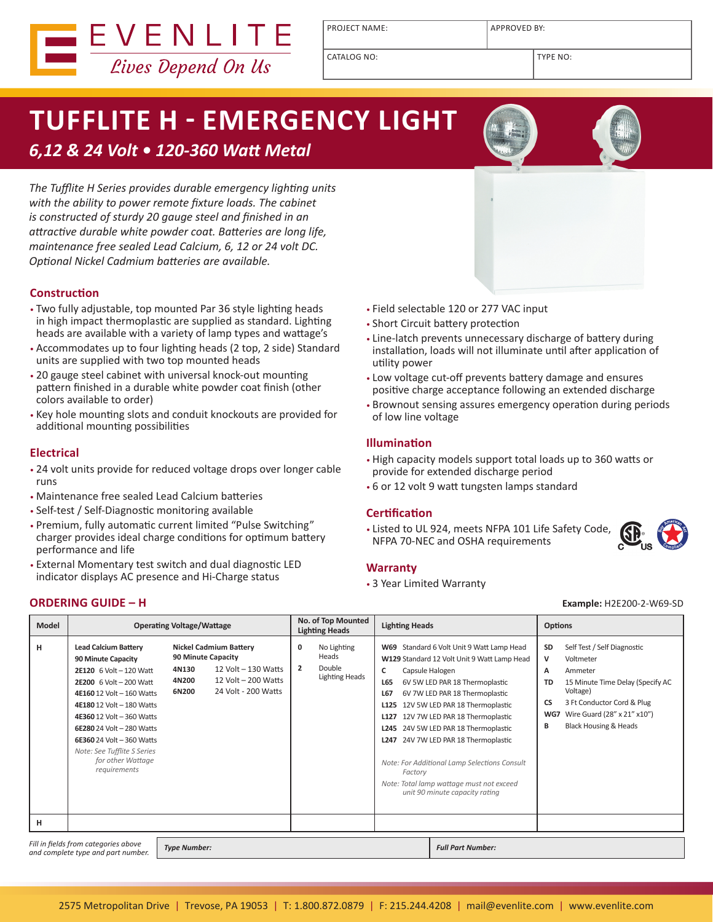

PROJECT NAME: <br> APPROVED BY:

CATALOG NO: TYPE NO:

# **TUFFLITE H - EMERGENCY LIGHT**

### *6,12 & 24 Volt • 120-360 Watt Metal*

*The Tufflite H Series provides durable emergency lighting units with the ability to power remote fixture loads. The cabinet is constructed of sturdy 20 gauge steel and finished in an attractive durable white powder coat. Batteries are long life, maintenance free sealed Lead Calcium, 6, 12 or 24 volt DC. Optional Nickel Cadmium batteries are available.*

#### **Construction**

- Two fully adjustable, top mounted Par 36 style lighting heads in high impact thermoplastic are supplied as standard. Lighting heads are available with a variety of lamp types and wattage's
- Accommodates up to four lighting heads (2 top, 2 side) Standard units are supplied with two top mounted heads
- 20 gauge steel cabinet with universal knock-out mounting pattern finished in a durable white powder coat finish (other colors available to order)
- Key hole mounting slots and conduit knockouts are provided for additional mounting possibilities

#### **Electrical**

- 24 volt units provide for reduced voltage drops over longer cable runs
- Maintenance free sealed Lead Calcium batteries
- Self-test / Self-Diagnostic monitoring available
- Premium, fully automatic current limited "Pulse Switching" charger provides ideal charge conditions for optimum battery performance and life
- External Momentary test switch and dual diagnostic LED indicator displays AC presence and Hi-Charge status

#### • Field selectable 120 or 277 VAC input

- Short Circuit battery protection
- Line-latch prevents unnecessary discharge of battery during installation, loads will not illuminate until after application of utility power
- Low voltage cut-off prevents battery damage and ensures positive charge acceptance following an extended discharge
- Brownout sensing assures emergency operation during periods of low line voltage

#### **Illumination**

- High capacity models support total loads up to 360 watts or provide for extended discharge period
- 6 or 12 volt 9 watt tungsten lamps standard

#### **Certification**

• Listed to UL 924, meets NFPA 101 Life Safety Code, NFPA 70-NEC and OSHA requirements

#### **Warranty**

• 3 Year Limited Warranty

#### **ORDERING GUIDE – H Example:** H2E200-2-W69-SD

 $\bigoplus$ 

| <b>Model</b> | <b>Operating Voltage/Wattage</b>                                                                                                                                                                                                                                                                                                    |                                                                                                                                                            | No. of Top Mounted<br><b>Lighting Heads</b><br><b>Lighting Heads</b>           |                                                                                                                                                                                                                                                                                                                                                                                                                                                                                                                                                           | <b>Options</b>                                                                                                                                                                                                                                      |  |
|--------------|-------------------------------------------------------------------------------------------------------------------------------------------------------------------------------------------------------------------------------------------------------------------------------------------------------------------------------------|------------------------------------------------------------------------------------------------------------------------------------------------------------|--------------------------------------------------------------------------------|-----------------------------------------------------------------------------------------------------------------------------------------------------------------------------------------------------------------------------------------------------------------------------------------------------------------------------------------------------------------------------------------------------------------------------------------------------------------------------------------------------------------------------------------------------------|-----------------------------------------------------------------------------------------------------------------------------------------------------------------------------------------------------------------------------------------------------|--|
| н            | <b>Lead Calcium Battery</b><br>90 Minute Capacity<br>2E120 6 Volt - 120 Watt<br><b>2E200</b> 6 Volt - 200 Watt<br>4E160 12 Volt - 160 Watts<br>4E180 12 Volt - 180 Watts<br>4E360 12 Volt - 360 Watts<br>6E280 24 Volt - 280 Watts<br>6E360 24 Volt - 360 Watts<br>Note: See Tufflite S Series<br>for other Wattage<br>requirements | <b>Nickel Cadmium Battery</b><br><b>90 Minute Capacity</b><br>12 Volt - 130 Watts<br>4N130<br>12 Volt – 200 Watts<br>4N200<br>24 Volt - 200 Watts<br>6N200 | No Lighting<br>0<br>Heads<br>Double<br>$\overline{2}$<br><b>Lighting Heads</b> | Standard 6 Volt Unit 9 Watt Lamp Head<br><b>W69</b><br>W129 Standard 12 Volt Unit 9 Watt Lamp Head<br>c<br>Capsule Halogen<br>L65<br>6V 5W LED PAR 18 Thermoplastic<br>L67<br>6V 7W LED PAR 18 Thermoplastic<br>12V 5W LED PAR 18 Thermoplastic<br>L <sub>125</sub><br>12V 7W LED PAR 18 Thermoplastic<br>L127<br>24V 5W LED PAR 18 Thermoplastic<br>L <sub>245</sub><br>24V 7W LED PAR 18 Thermoplastic<br>L247<br>Note: For Additional Lamp Selections Consult<br>Factory<br>Note: Total lamp wattage must not exceed<br>unit 90 minute capacity rating | Self Test / Self Diagnostic<br>SD<br>v<br>Voltmeter<br>A<br>Ammeter<br>15 Minute Time Delay (Specify AC<br>TD<br>Voltage)<br>3 Ft Conductor Cord & Plug<br><b>CS</b><br>Wire Guard (28" x 21" x10")<br>WG7<br><b>Black Housing &amp; Heads</b><br>В |  |
| н            |                                                                                                                                                                                                                                                                                                                                     |                                                                                                                                                            |                                                                                |                                                                                                                                                                                                                                                                                                                                                                                                                                                                                                                                                           |                                                                                                                                                                                                                                                     |  |

*Fill in fields from categories above and complete type and part number. Type Number: Full Part Number:*